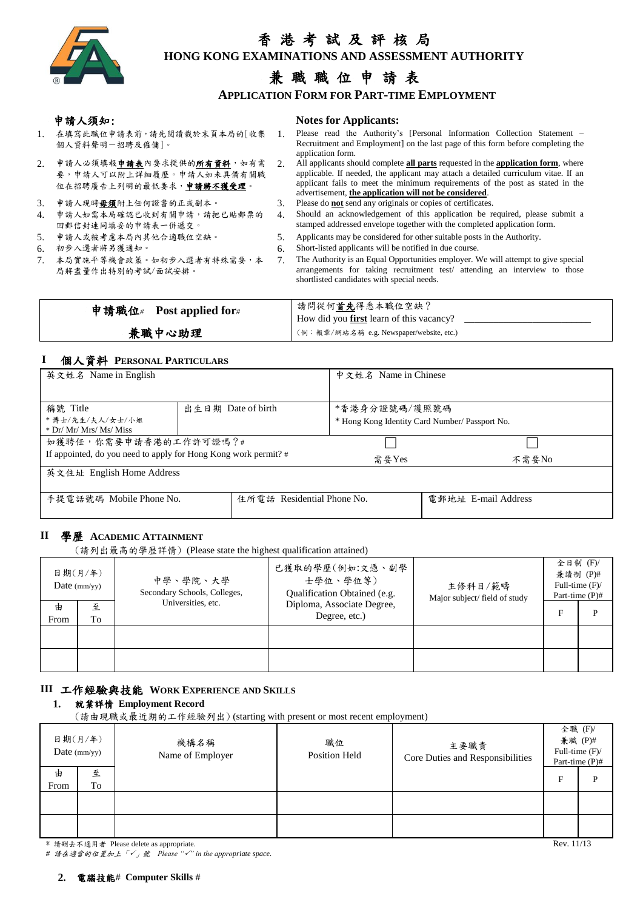

# 香 港 考 試 及 評 核 局

 $\overline{\phantom{a}}$ **HONG KONG EXAMINATIONS AND ASSESSMENT AUTHORITY**

## 兼 職 職 位 申 請 表

**APPLICATION FORM FOR PART-TIME EMPLOYMENT**

#### 申請人須知: **Notes for Applicants:**

- 1. 在填寫此職位申請表前,請先閱讀載於末頁本局的[收集 個人資料聲明-招聘及僱傭]。 1. Please read the Authority's [Personal Information Collection Statement –
- 2. 申請人必須填報申請表內要求提供的所有資料,如有需 要,申請人可以附上詳細履歷。申請人如未具備有關職 、<br>位在招聘廣告上列明的最低要求,申請將不獲受理。
- 
- 4. 申請人如需本局確認已收到有關申請,請把已貼郵票的
- 回郵信封連同填妥的申請表一併遞交。
- 
- 
- 7. 本局實施平等機會政策。如初步入選者有特殊需要,本 局將盡量作出特別的考試/面試安排。
- Recruitment and Employment] on the last page of this form before completing the application form. 2. All applicants should complete **all parts** requested in the **application form**, where
- applicable. If needed, the applicant may attach a detailed curriculum vitae. If an applicant fails to meet the minimum requirements of the post as stated in the advertisement, **the application will not be considered**.
- 3. 申請人現時毋須附上任何證書的正或副本。 3. Please do **not** send any originals or copies of certificates.
	- 4. Should an acknowledgement of this application be required, please submit a stamped addressed envelope together with the completed application form.
- 5. 申請人或被考慮本局內其他合適職位空缺。 5. Applicants may be considered for other suitable posts in the Authority.
- 6. 初步入選者將另獲通知。 6. Short-listed applicants will be notified in due course.
	- 7. The Authority is an Equal Opportunities employer. We will attempt to give special arrangements for taking recruitment test/ attending an interview to those shortlisted candidates with special needs.

| 申請職位#Post applied for# | 請問從何首先得悉本職位空缺?<br>How did you <b>first</b> learn of this vacancy? |
|------------------------|-------------------------------------------------------------------|
| 兼職中心助理                 | (例:報章/網站名稱 e.g. Newspaper/website, etc.)                          |

#### **I** 個人資料 **PERSONAL PARTICULARS**

| 英文姓名 Name in English                                            |                    | 中文姓名 Name in Chinese       |               |                                                |
|-----------------------------------------------------------------|--------------------|----------------------------|---------------|------------------------------------------------|
|                                                                 |                    |                            |               |                                                |
| 稱號 Title                                                        | 出生日期 Date of birth |                            | *香港身分證號碼/護照號碼 |                                                |
| *博士/先生/夫人/女士/小姐                                                 |                    |                            |               | * Hong Kong Identity Card Number/ Passport No. |
| $*$ Dr/ Mr/ Mrs/ Ms/ Miss                                       |                    |                            |               |                                                |
| 如獲聘任,你需要申請香港的工作許可證嗎?#                                           |                    |                            |               |                                                |
| If appointed, do you need to apply for Hong Kong work permit? # |                    | 需要Yes                      | 不需要No         |                                                |
| 英文住址 English Home Address                                       |                    |                            |               |                                                |
|                                                                 |                    |                            |               |                                                |
| 手提電話號碼 Mobile Phone No.                                         |                    | 住所電話 Residential Phone No. |               | 電郵地址 E-mail Address                            |
|                                                                 |                    |                            |               |                                                |

### **II** 學歷 **ACADEMIC ATTAINMENT**

(請列出最高的學歷詳情) (Please state the highest qualification attained)

|           | 日期(月/年)<br>Date $\frac{mm}{yy}$ | 中學、學院、大學<br>Secondary Schools, Colleges, | 已獲取的學歷(例如:文憑、副學<br>士學位、學位等)<br><b>Oualification Obtained (e.g.</b> | 主修科目/範疇<br>Major subject/field of study | 全日制 (F)/<br>Full-time $(F)$ / | 兼讀制 (P)#<br>Part-time $(P)$ # |
|-----------|---------------------------------|------------------------------------------|--------------------------------------------------------------------|-----------------------------------------|-------------------------------|-------------------------------|
| 由<br>From | 至<br>To                         | Universities, etc.                       | Diploma, Associate Degree,<br>Degree, etc.)                        |                                         | E                             | D                             |
|           |                                 |                                          |                                                                    |                                         |                               |                               |
|           |                                 |                                          |                                                                    |                                         |                               |                               |

#### **III** 工作經驗與技能 **WORK EXPERIENCE AND SKILLS**

#### **1.** 就業詳情 **Employment Record**

(請由現職或最近期的工作經驗列出) (starting with present or most recent employment)

|           | 日期(月/年)<br>Date $\frac{mm}{yy}$ | 機構名稱<br>Name of Employer | 職位<br><b>Position Held</b> | 主要職責<br>Core Duties and Responsibilities | 全職 (F)/<br>Full-time $(F)$ / | 兼職 (P)#<br>Part-time (P)# |
|-----------|---------------------------------|--------------------------|----------------------------|------------------------------------------|------------------------------|---------------------------|
| 由<br>From | 至<br>To                         |                          |                            |                                          | $\mathbf{F}$                 | P                         |
|           |                                 |                          |                            |                                          |                              |                           |
|           |                                 |                          |                            |                                          |                              |                           |

\* 請刪去不適用者 Please delete as appropriate. **All and a set of the control of the control of the control of the control of the control of the control of the control of the control of the control of the control of the control o** 

*#* 請在適當的位置加上「」號 *Please "" in the appropriate space.*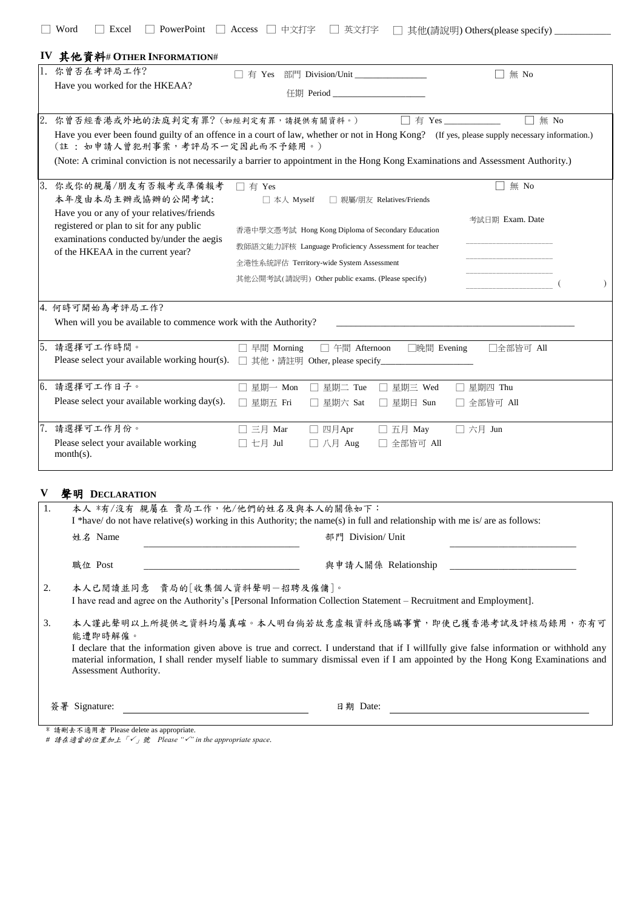|                                                                                       | 你曾否在考評局工作?                                                                                                                                                                                                                                                                                                                                                 | □ 有 Yes 部門 Division/Unit _____________                               |                                                      |                           | $\square$ 無 No                                                                                                                                                      |  |  |  |  |  |
|---------------------------------------------------------------------------------------|------------------------------------------------------------------------------------------------------------------------------------------------------------------------------------------------------------------------------------------------------------------------------------------------------------------------------------------------------------|----------------------------------------------------------------------|------------------------------------------------------|---------------------------|---------------------------------------------------------------------------------------------------------------------------------------------------------------------|--|--|--|--|--|
|                                                                                       | Have you worked for the HKEAA?                                                                                                                                                                                                                                                                                                                             |                                                                      | 任期 Period ______________                             |                           |                                                                                                                                                                     |  |  |  |  |  |
|                                                                                       |                                                                                                                                                                                                                                                                                                                                                            |                                                                      |                                                      |                           |                                                                                                                                                                     |  |  |  |  |  |
|                                                                                       | 2. 你曾否經香港或外地的法庭判定有罪?(如經判定有罪,請提供有關資料。)<br>Have you ever been found guilty of an offence in a court of law, whether or not in Hong Kong? (If yes, please supply necessary information.)<br>(註:如申請人曾犯刑事案,考評局不一定因此而不予錄用。)<br>(Note: A criminal conviction is not necessarily a barrier to appointment in the Hong Kong Examinations and Assessment Authority.) |                                                                      |                                                      |                           | $\square$ 無 No<br>$\Box$ 有 Yes _____________                                                                                                                        |  |  |  |  |  |
|                                                                                       | 3. 你或你的親屬/朋友有否報考或準備報考<br>本年度由本局主辦或協辦的公開考試:                                                                                                                                                                                                                                                                                                                 | □ 有 Yes<br>□ 本人 Myself                                               |                                                      | □ 親屬/朋友 Relatives/Friends | 無 No                                                                                                                                                                |  |  |  |  |  |
| Have you or any of your relatives/friends<br>registered or plan to sit for any public |                                                                                                                                                                                                                                                                                                                                                            | 考試日期 Exam. Date<br>香港中學文憑考試 Hong Kong Diploma of Secondary Education |                                                      |                           |                                                                                                                                                                     |  |  |  |  |  |
|                                                                                       | examinations conducted by/under the aegis<br>of the HKEAA in the current year?                                                                                                                                                                                                                                                                             |                                                                      | 教師語文能力評核 Language Proficiency Assessment for teacher |                           |                                                                                                                                                                     |  |  |  |  |  |
|                                                                                       |                                                                                                                                                                                                                                                                                                                                                            | 全港性系統評估 Territory-wide System Assessment                             |                                                      |                           |                                                                                                                                                                     |  |  |  |  |  |
|                                                                                       |                                                                                                                                                                                                                                                                                                                                                            | 其他公開考試(請說明) Other public exams. (Please specify)                     |                                                      |                           |                                                                                                                                                                     |  |  |  |  |  |
|                                                                                       | 4. 何時可開始為考評局工作?<br>When will you be available to commence work with the Authority?                                                                                                                                                                                                                                                                         |                                                                      |                                                      |                           | the control of the control of the control of the control of the control of the control of                                                                           |  |  |  |  |  |
|                                                                                       | 5. 請選擇可工作時間。<br>Please select your available working hour(s).                                                                                                                                                                                                                                                                                              | 早間 Morning<br>□ 其他, 請註明 Other, please specify_                       | □ 午間 Afternoon                                       | □晚間 Evening               | □全部皆可 All                                                                                                                                                           |  |  |  |  |  |
|                                                                                       | 6. 請選擇可工作日子。                                                                                                                                                                                                                                                                                                                                               | □ 星期一 Mon                                                            | □ 星期二 Tue                                            | □ 星期三 Wed                 | □ 星期四 Thu                                                                                                                                                           |  |  |  |  |  |
|                                                                                       | Please select your available working day(s).                                                                                                                                                                                                                                                                                                               | □ 星期五 Fri                                                            | □ 星期六 Sat                                            | □ 星期日 Sun                 | □ 全部皆可 All                                                                                                                                                          |  |  |  |  |  |
|                                                                                       | 7. 請選擇可工作月份。                                                                                                                                                                                                                                                                                                                                               | $\square$ 三月 Mar                                                     | □ 四月Apr                                              | □ 五月 May                  | □ 六月 Jun                                                                                                                                                            |  |  |  |  |  |
|                                                                                       | Please select your available working<br>$month(s)$ .                                                                                                                                                                                                                                                                                                       | □ 七月 Jul                                                             | □ 八月 Aug                                             | □ 全部皆可 All                |                                                                                                                                                                     |  |  |  |  |  |
|                                                                                       |                                                                                                                                                                                                                                                                                                                                                            |                                                                      |                                                      |                           |                                                                                                                                                                     |  |  |  |  |  |
|                                                                                       | 聲明 DECLARATION                                                                                                                                                                                                                                                                                                                                             |                                                                      |                                                      |                           | 本人 *有/沒有 親屬在 貴局工作,他/他們的姓名及與本人的關係如下:<br>I *have/ do not have relative(s) working in this Authority; the name(s) in full and relationship with me is/ are as follows: |  |  |  |  |  |
|                                                                                       |                                                                                                                                                                                                                                                                                                                                                            |                                                                      |                                                      |                           |                                                                                                                                                                     |  |  |  |  |  |
|                                                                                       | 姓名 Name                                                                                                                                                                                                                                                                                                                                                    |                                                                      | 部門 Division/ Unit                                    |                           |                                                                                                                                                                     |  |  |  |  |  |
|                                                                                       | 職位 Post                                                                                                                                                                                                                                                                                                                                                    |                                                                      |                                                      | 與申請人關係 Relationship       |                                                                                                                                                                     |  |  |  |  |  |
| 2.                                                                                    | 本人已閱讀並同意 貴局的[收集個人資料聲明一招聘及僱傭]。<br>I have read and agree on the Authority's [Personal Information Collection Statement – Recruitment and Employment].                                                                                                                                                                                                        |                                                                      |                                                      |                           |                                                                                                                                                                     |  |  |  |  |  |
| 3.                                                                                    | 本人謹此聲明以上所提供之資料均屬真確。本人明白倘若故意虛報資料或隱瞞事實,即使已獲香港考試及評核局錄用,亦有可<br>能遭即時解僱。                                                                                                                                                                                                                                                                                         |                                                                      |                                                      |                           |                                                                                                                                                                     |  |  |  |  |  |
|                                                                                       | I declare that the information given above is true and correct. I understand that if I willfully give false information or withhold any<br>material information, I shall render myself liable to summary dismissal even if I am appointed by the Hong Kong Examinations and<br>Assessment Authority.                                                       |                                                                      |                                                      |                           |                                                                                                                                                                     |  |  |  |  |  |

\* 請刪去不適用者 Please delete as appropriate.

*#* 請在適當的位置加上「」號 *Please "" in the appropriate space.*